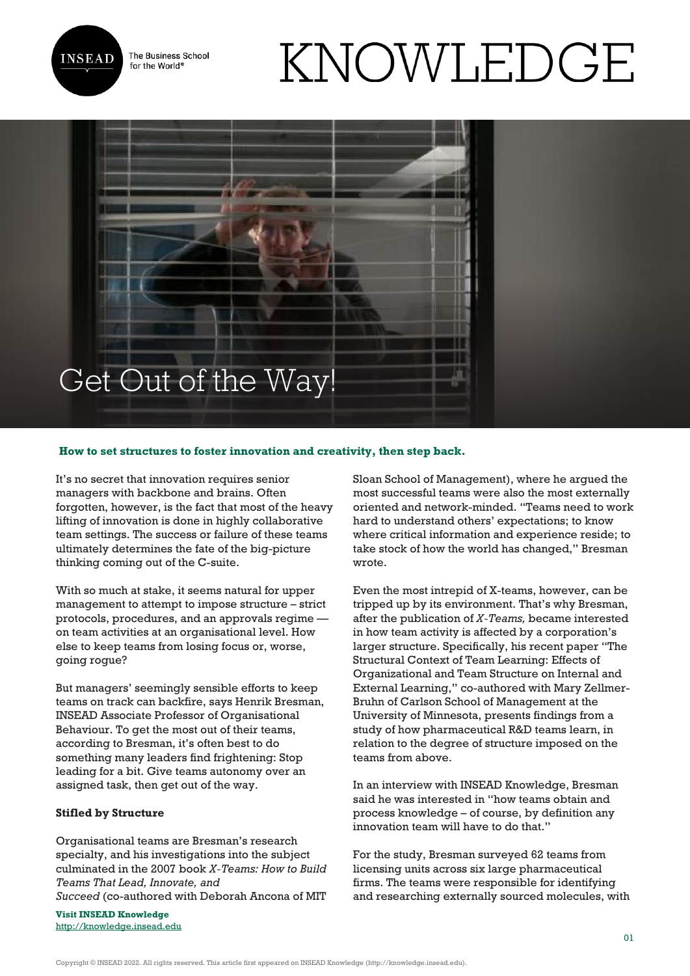

The Business School for the World<sup>®</sup>

# KNOWLEDGE

# Get Out of the Way!

# **How to set structures to foster innovation and creativity, then step back.**

It's no secret that innovation requires senior managers with backbone and brains. Often forgotten, however, is the fact that most of the heavy lifting of innovation is done in highly collaborative team settings. The success or failure of these teams ultimately determines the fate of the big-picture thinking coming out of the C-suite.

With so much at stake, it seems natural for upper management to attempt to impose structure – strict protocols, procedures, and an approvals regime on team activities at an organisational level. How else to keep teams from losing focus or, worse, going rogue?

But managers' seemingly sensible efforts to keep teams on track can backfire, says Henrik Bresman, INSEAD Associate Professor of Organisational Behaviour. To get the most out of their teams, according to Bresman, it's often best to do something many leaders find frightening: Stop leading for a bit. Give teams autonomy over an assigned task, then get out of the way.

# **Stifled by Structure**

Organisational teams are Bresman's research specialty, and his investigations into the subject culminated in the 2007 book *X-Teams: How to Build Teams That Lead, Innovate, and Succeed* (co-authored with Deborah Ancona of MIT

**Visit INSEAD Knowledge** <http://knowledge.insead.edu> Sloan School of Management), where he argued the most successful teams were also the most externally oriented and network-minded. "Teams need to work hard to understand others' expectations; to know where critical information and experience reside; to take stock of how the world has changed," Bresman wrote.

Even the most intrepid of X-teams, however, can be tripped up by its environment. That's why Bresman, after the publication of *X-Teams,* became interested in how team activity is affected by a corporation's larger structure. Specifically, his recent paper "The Structural Context of Team Learning: Effects of Organizational and Team Structure on Internal and External Learning," co-authored with Mary Zellmer-Bruhn of Carlson School of Management at the University of Minnesota, presents findings from a study of how pharmaceutical R&D teams learn, in relation to the degree of structure imposed on the teams from above.

In an interview with INSEAD Knowledge, Bresman said he was interested in "how teams obtain and process knowledge – of course, by definition any innovation team will have to do that."

For the study, Bresman surveyed 62 teams from licensing units across six large pharmaceutical firms. The teams were responsible for identifying and researching externally sourced molecules, with

Copyright © INSEAD 2022. All rights reserved. This article first appeared on INSEAD Knowledge (http://knowledge.insead.edu).